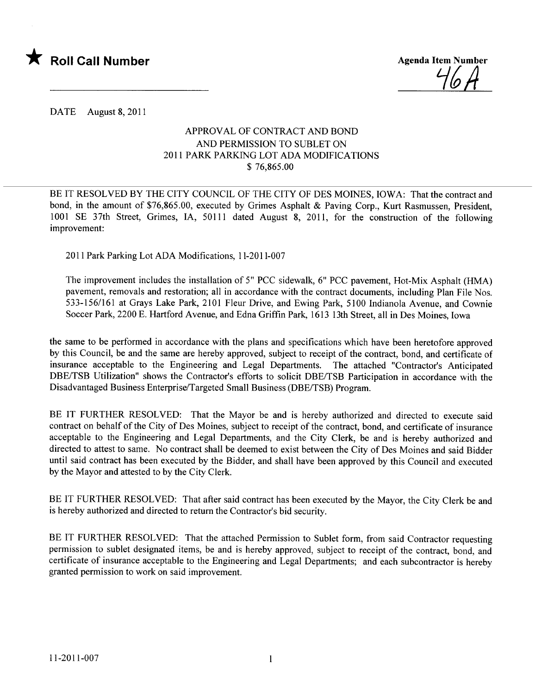

DATE August 8, 2011

## APPROVAL OF CONTRACT AND BOND AND PERMISSION TO SUBLET ON 2011 PARK PARKING LOT ADA MODIFICATIONS \$ 76,865.00

BE IT RESOLVED BY THE CITY COUNCIL OF THE CITY OF DES MOINES, IOWA: That the contract and bond, in the amount of \$76,865.00, executed by Grimes Asphalt & Paving Corp., Kurt Rasmussen, President, 1001 SE 37th Street, Grimes, lA, 50111 dated August 8, 2011, for the construction of the following improvement:

2011 Park Parking Lot ADA Modifications, 11-2011-007

The improvement includes the installation of 5" PCC sidewalk, 6" PCC pavement, Hot-Mix Asphalt (HMA) pavement, removals and restoration; all in accordance with the contract documents, including Plan File Nos. 533-156/161 at Grays Lake Park, 2101 Fleur Drive, and Ewing Park, 5100 Indianola Avenue, and Cownie Soccer Park, 2200 E. Hartford Avenue, and Edna Griffn Park, 1613 13th Street, all in Des Moines, Iowa

the same to be performed in accordance with the plans and specifications which have been heretofore approved by this Council, be and the same are hereby approved, subject to receipt of the contract, bond, and certificate of insurance acceptable to the Engineering and Legal Departments. The attached "Contractor's Anticipated DBE/TSB Utilization" shows the Contractor's efforts to solicit DBE/TSB Participation in accordance with the Disadvantaged Business Enterprise/Targeted Small Business (DBE/TSB) Program.

BE IT FURTHER RESOLVED: That the Mayor be and is hereby authorized and directed to execute said contract on behalf of the City of Des Moines, subject to receipt of the contract, bond, and certificate of insurance acceptable to the Engineering and Legal Departments, and the City Clerk, be and is hereby authorized and directed to attest to same. No contract shall be deemed to exist between the City of Des Moines and said Bidder until said contract has been executed by the Bidder, and shall have been approved by this Council and executed by the Mayor and attested to by the City Clerk.

BE IT FURTHER RESOLVED: That after said contract has been executed by the Mayor, the City Clerk be and is hereby authorized and directed to return the Contractor's bid security.

BE IT FURTHER RESOLVED: That the attached Permission to Sublet form, from said Contractor requesting permission to sublet designated items, be and is hereby approved, subject to receipt of the contract, bond, and certificate of insurance acceptable to the Engineering and Legal Departments; and each subcontractor is hereby granted permission to work on said improvement.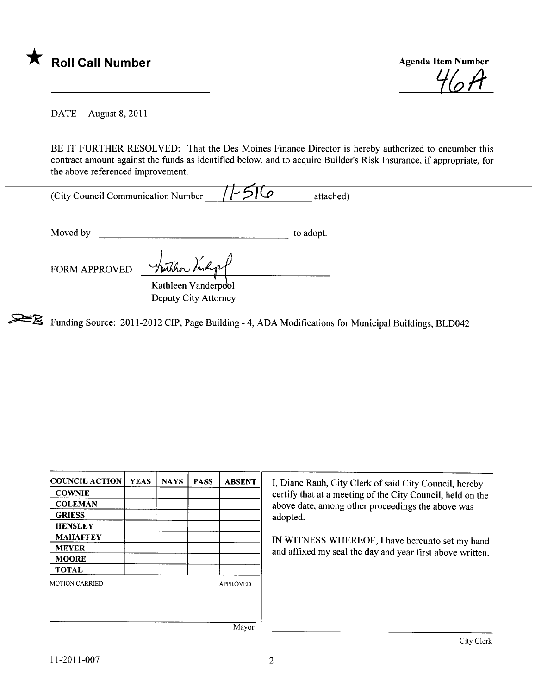

 $1011$ 

DATE August 8, 2011

BE IT FURTHER RESOLVED: That the Des Moines Finance Director is hereby authorized to encumber this contract amount against the funds as identified below, and to acquire Builder's Risk Insurance, if appropriate, for the above referenced improvement.

| (City Council Communication Number | $11-516$ | attached) |
|------------------------------------|----------|-----------|

Moved by to adopt.

 $\gamma$  there are Kathleen Vanderpool FORM APPROVED

Deputy City Attorney

~ Funding Source: 2011-2012 CIP, Page Building - 4, ADA Modifications for Municipal Buildings, BLD042

| <b>COUNCIL ACTION</b> | <b>YEAS</b> | <b>NAYS</b> | <b>PASS</b> | <b>ABSENT</b>   | I, Diane Rauh, City Clerk of said City Council, hereby     |
|-----------------------|-------------|-------------|-------------|-----------------|------------------------------------------------------------|
| <b>COWNIE</b>         |             |             |             |                 | certify that at a meeting of the City Council, held on the |
| <b>COLEMAN</b>        |             |             |             |                 | above date, among other proceedings the above was          |
| <b>GRIESS</b>         |             |             |             |                 | adopted.                                                   |
| <b>HENSLEY</b>        |             |             |             |                 |                                                            |
| <b>MAHAFFEY</b>       |             |             |             |                 | IN WITNESS WHEREOF, I have hereunto set my hand            |
| <b>MEYER</b>          |             |             |             |                 | and affixed my seal the day and year first above written.  |
| <b>MOORE</b>          |             |             |             |                 |                                                            |
| <b>TOTAL</b>          |             |             |             |                 |                                                            |
| <b>MOTION CARRIED</b> |             |             |             | <b>APPROVED</b> |                                                            |
|                       |             |             |             |                 |                                                            |
|                       |             |             |             |                 |                                                            |
|                       |             |             |             | Mayor           |                                                            |
|                       |             |             |             |                 | City Clerk                                                 |